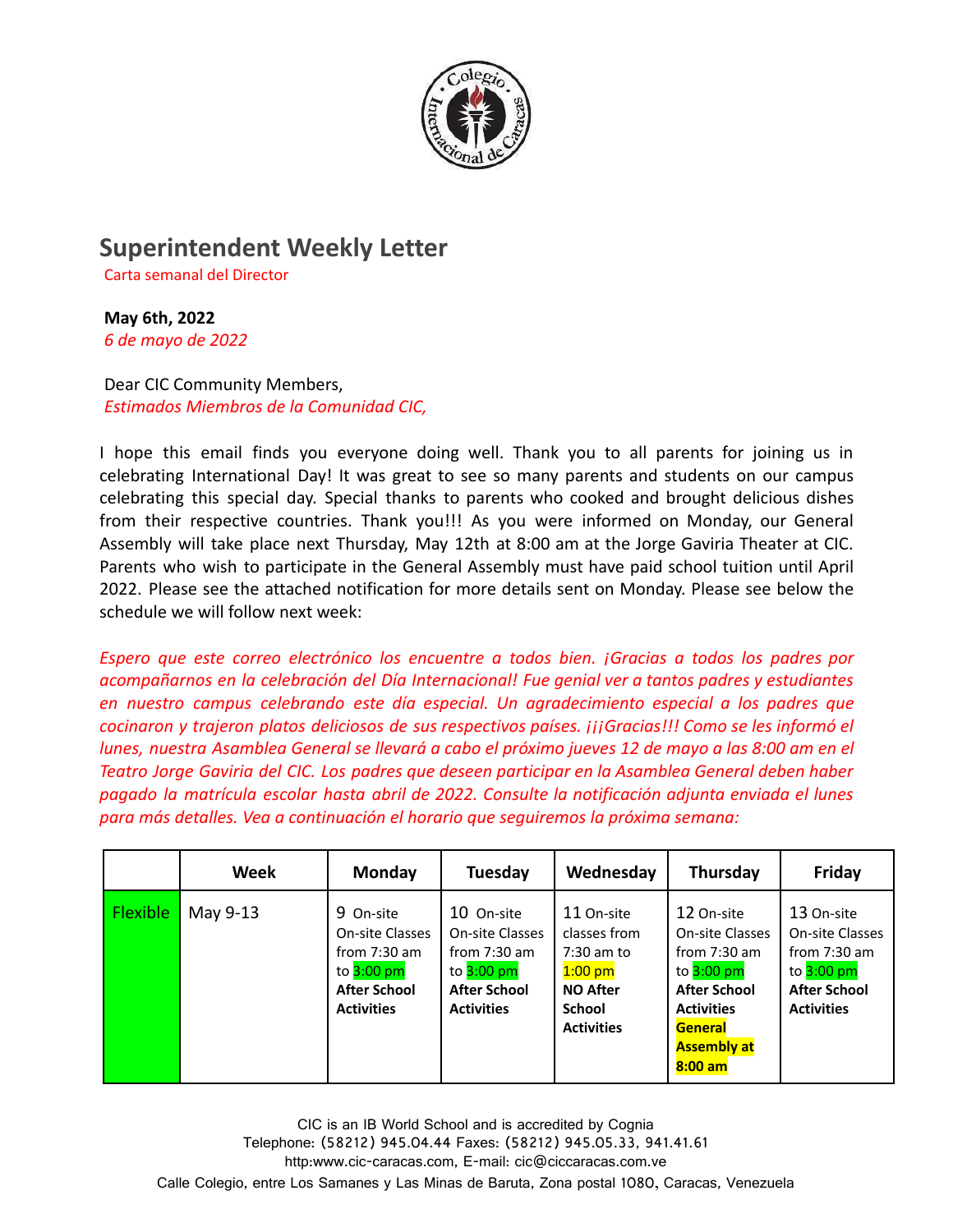

## **Superintendent Weekly Letter**

Carta semanal del Director

## **May 6th, 2022**

*6 de mayo de 2022*

Dear CIC Community Members, *Estimados Miembros de la Comunidad CIC,*

I hope this email finds you everyone doing well. Thank you to all parents for joining us in celebrating International Day! It was great to see so many parents and students on our campus celebrating this special day. Special thanks to parents who cooked and brought delicious dishes from their respective countries. Thank you!!! As you were informed on Monday, our General Assembly will take place next Thursday, May 12th at 8:00 am at the Jorge Gaviria Theater at CIC. Parents who wish to participate in the General Assembly must have paid school tuition until April 2022. Please see the attached notification for more details sent on Monday. Please see below the schedule we will follow next week:

*Espero que este correo electrónico los encuentre a todos bien. ¡Gracias a todos los padres por acompañarnos en la celebración del Día Internacional! Fue genial ver a tantos padres y estudiantes en nuestro campus celebrando este día especial. Un agradecimiento especial a los padres que cocinaron y trajeron platos deliciosos de sus respectivos países. ¡¡¡Gracias!!! Como se les informó el* lunes, nuestra Asamblea General se llevará a cabo el próximo jueves 12 de mayo a las 8:00 am en el *Teatro Jorge Gaviria del CIC. Los padres que deseen participar en la Asamblea General deben haber pagado la matrícula escolar hasta abril de 2022. Consulte la notificación adjunta enviada el lunes para más detalles. Vea a continuación el horario que seguiremos la próxima semana:*

|                 | <b>Week</b> | <b>Monday</b>                                                                                              | Tuesday                                                                                                            | Wednesday                                                                                                        | Thursday                                                                                                                                                         | Friday                                                                                                             |
|-----------------|-------------|------------------------------------------------------------------------------------------------------------|--------------------------------------------------------------------------------------------------------------------|------------------------------------------------------------------------------------------------------------------|------------------------------------------------------------------------------------------------------------------------------------------------------------------|--------------------------------------------------------------------------------------------------------------------|
| <b>Flexible</b> | May 9-13    | 9 On-site<br>On-site Classes<br>from $7:30$ am<br>to $3:00$ pm<br><b>After School</b><br><b>Activities</b> | 10 On-site<br><b>On-site Classes</b><br>from $7:30$ am<br>to $3:00$ pm<br><b>After School</b><br><b>Activities</b> | 11 On-site<br>classes from<br>$7:30$ am to<br>$1:00$ pm<br><b>NO After</b><br><b>School</b><br><b>Activities</b> | 12 On-site<br>On-site Classes<br>from $7:30$ am<br>to $3:00$ pm<br><b>After School</b><br><b>Activities</b><br><b>General</b><br><b>Assembly at</b><br>$8:00$ am | 13 On-site<br><b>On-site Classes</b><br>from $7:30$ am<br>to $3:00$ pm<br><b>After School</b><br><b>Activities</b> |

CIC is an IB World School and is accredited by Cognia Telephone: (58212) 945.04.44 Faxes: (58212) 945.05.33, 941.41.61 http:www.cic-caracas.com, E-mail: cic@ciccaracas.com.ve Calle Colegio, entre Los Samanes <sup>y</sup> Las Minas de Baruta, Zona postal <sup>1080</sup>, Caracas, Venezuela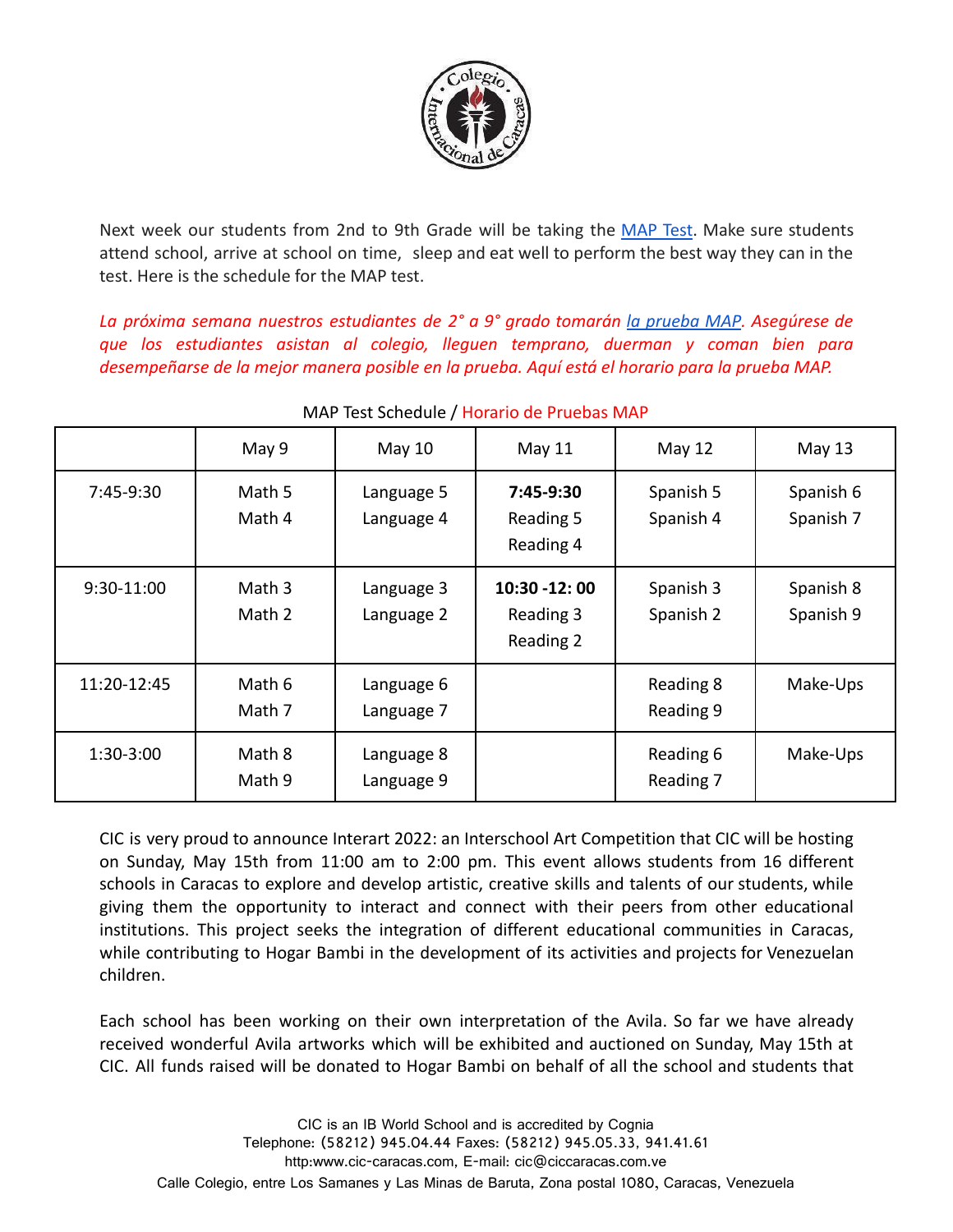

Next week our students from 2nd to 9th Grade will be taking the [MAP](https://www.nwea.org/the-map-suite/family-toolkit/) Test. Make sure students attend school, arrive at school on time, sleep and eat well to perform the best way they can in the test. Here is the schedule for the MAP test.

*La próxima semana nuestros estudiantes de 2° a 9° grado tomarán la [prueba](https://www.nwea.org/the-map-suite/family-toolkit/) MAP. Asegúrese de que los estudiantes asistan al colegio, lleguen temprano, duerman y coman bien para desempeñarse de la mejor manera posible en la prueba. Aquí está el horario para la prueba MAP.*

|             | May 9            | May 10                   | <b>May 11</b>                             | May $12$               | May $13$               |
|-------------|------------------|--------------------------|-------------------------------------------|------------------------|------------------------|
| 7:45-9:30   | Math 5<br>Math 4 | Language 5<br>Language 4 | 7:45-9:30<br>Reading 5<br>Reading 4       | Spanish 5<br>Spanish 4 | Spanish 6<br>Spanish 7 |
| 9:30-11:00  | Math 3<br>Math 2 | Language 3<br>Language 2 | $10:30 - 12:00$<br>Reading 3<br>Reading 2 | Spanish 3<br>Spanish 2 | Spanish 8<br>Spanish 9 |
| 11:20-12:45 | Math 6<br>Math 7 | Language 6<br>Language 7 |                                           | Reading 8<br>Reading 9 | Make-Ups               |
| 1:30-3:00   | Math 8<br>Math 9 | Language 8<br>Language 9 |                                           | Reading 6<br>Reading 7 | Make-Ups               |

MAP Test Schedule / Horario de Pruebas MAP

CIC is very proud to announce Interart 2022: an Interschool Art Competition that CIC will be hosting on Sunday, May 15th from 11:00 am to 2:00 pm. This event allows students from 16 different schools in Caracas to explore and develop artistic, creative skills and talents of our students, while giving them the opportunity to interact and connect with their peers from other educational institutions. This project seeks the integration of different educational communities in Caracas, while contributing to Hogar Bambi in the development of its activities and projects for Venezuelan children.

Each school has been working on their own interpretation of the Avila. So far we have already received wonderful Avila artworks which will be exhibited and auctioned on Sunday, May 15th at CIC. All funds raised will be donated to Hogar Bambi on behalf of all the school and students that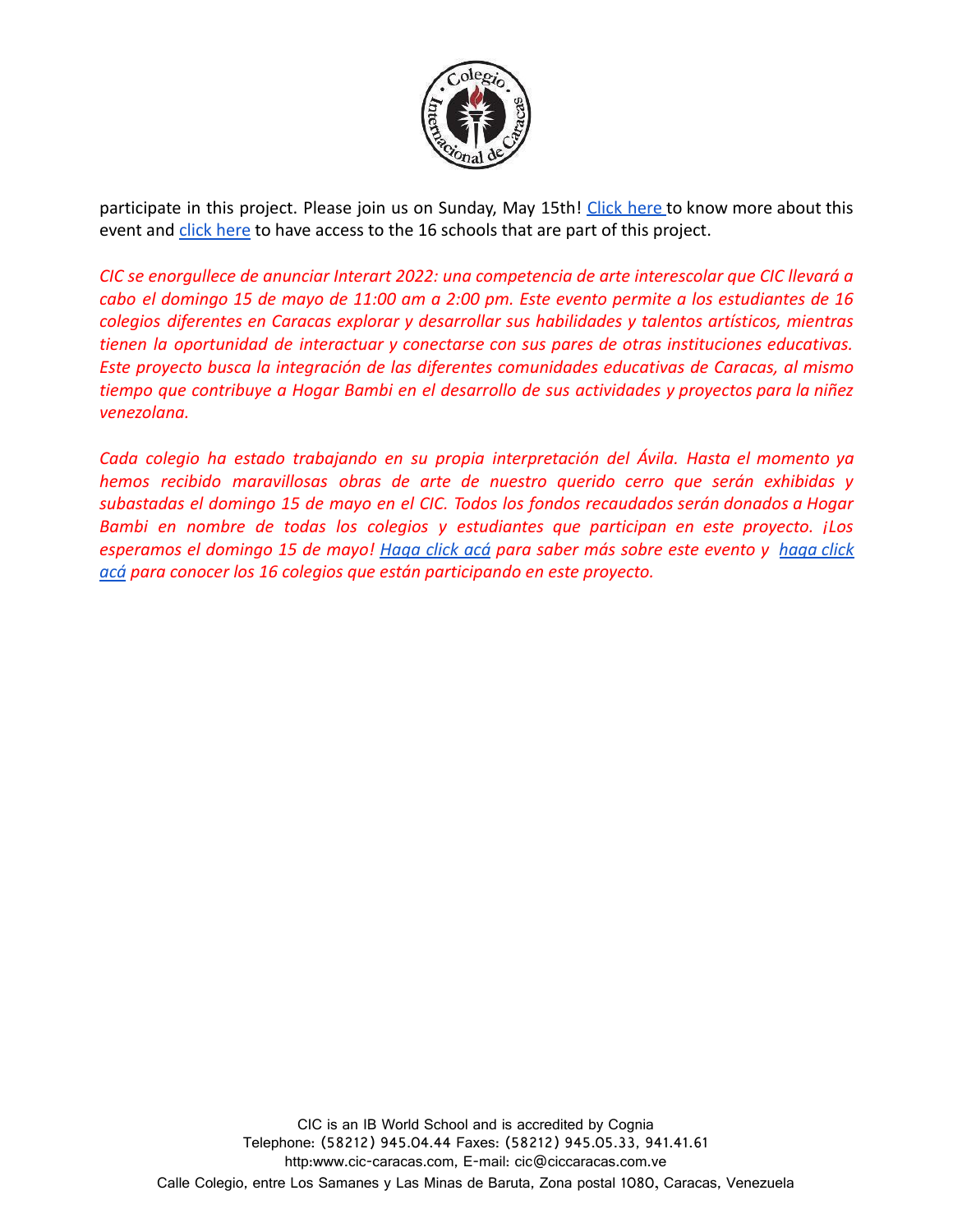

participate in this project. Please join us on Sunday, May 15th! [Click](https://docs.google.com/document/d/1jJDJmjnpHHjvlO7kYCqOGfl9iWiEEhEn/edit?usp=sharing&ouid=103475246506866134542&rtpof=true&sd=true) here to know more about this event and [click here](https://docs.google.com/document/d/1AFLJL5AfgXOjyR0Dg40xIjMBkccJbE9z/edit?usp=sharing&ouid=103475246506866134542&rtpof=true&sd=true) to have access to the 16 schools that are part of this project.

*CIC se enorgullece de anunciar Interart 2022: una competencia de arte interescolar que CIC llevará a* cabo el domingo 15 de mayo de 11:00 am a 2:00 pm. Este evento permite a los estudiantes de 16 *colegios diferentes en Caracas explorar y desarrollar sus habilidades y talentos artísticos, mientras tienen la oportunidad de interactuar y conectarse con sus pares de otras instituciones educativas. Este proyecto busca la integración de las diferentes comunidades educativas de Caracas, al mismo tiempo que contribuye a Hogar Bambi en el desarrollo de sus actividades y proyectos para la niñez venezolana.*

*Cada colegio ha estado trabajando en su propia interpretación del Ávila. Hasta el momento ya hemos recibido maravillosas obras de arte de nuestro querido cerro que serán exhibidas y subastadas el domingo 15 de mayo en el CIC. Todos los fondos recaudados serán donados a Hogar Bambi en nombre de todas los colegios y estudiantes que participan en este proyecto. ¡Los esperamos el domingo 15 de mayo! [Haga](https://docs.google.com/document/d/1jJDJmjnpHHjvlO7kYCqOGfl9iWiEEhEn/edit?usp=sharing&ouid=103475246506866134542&rtpof=true&sd=true) click acá para saber más sobre este evento y [haga](https://docs.google.com/document/d/1AFLJL5AfgXOjyR0Dg40xIjMBkccJbE9z/edit?usp=sharing&ouid=103475246506866134542&rtpof=true&sd=true) click [acá](https://docs.google.com/document/d/1AFLJL5AfgXOjyR0Dg40xIjMBkccJbE9z/edit?usp=sharing&ouid=103475246506866134542&rtpof=true&sd=true) para conocer los 16 colegios que están participando en este proyecto.*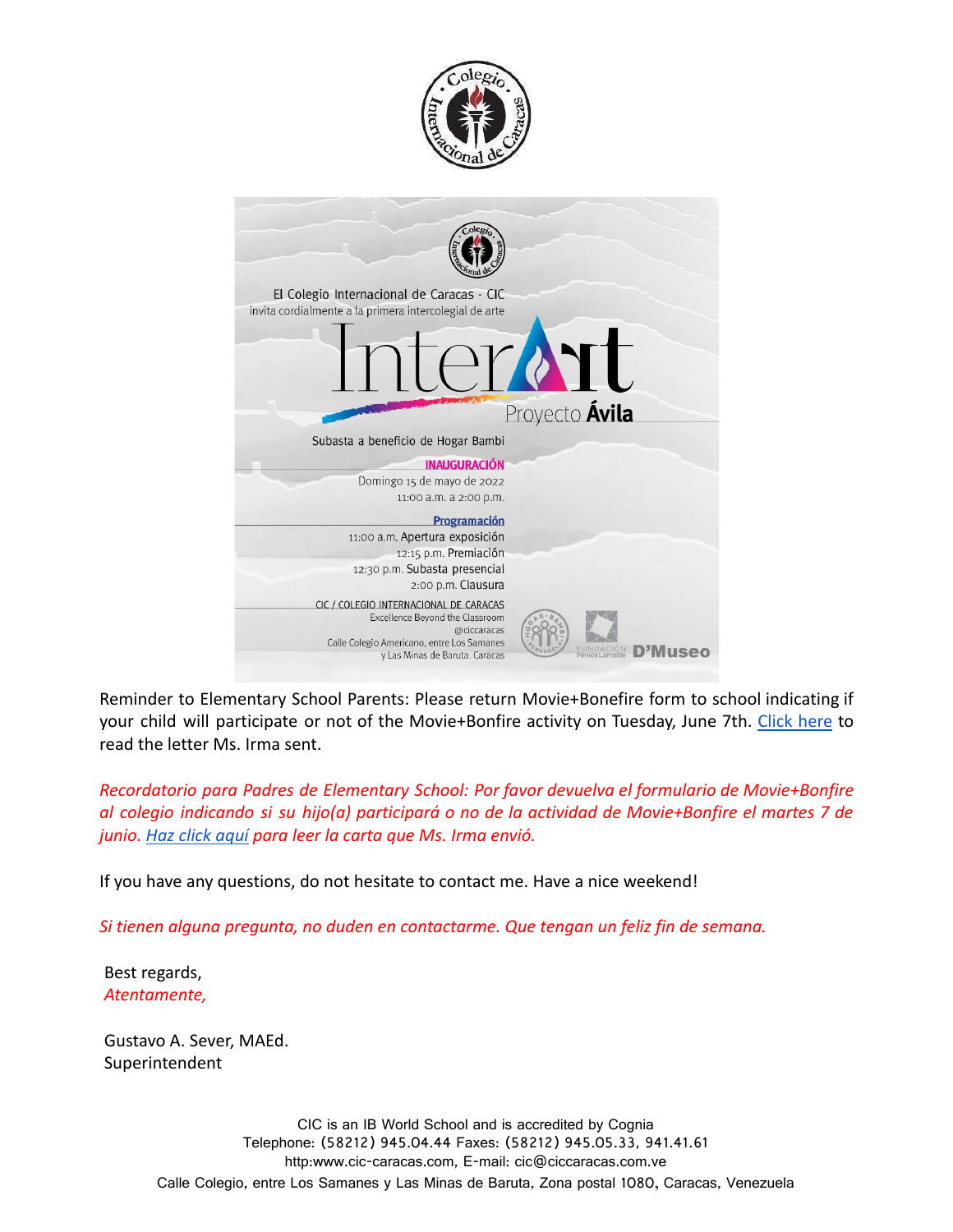

Reminder to Elementary School Parents: Please return Movie+Bonefire form to school indicating if your child will participate or not of the Movie+Bonfire activity on Tuesday, June 7th. [Click](https://docs.google.com/document/d/1wgOGwVFnyAaiJzM34WaJNOW0yhnX4Gl3/edit?usp=sharing&ouid=103475246506866134542&rtpof=true&sd=true) here to read the letter Ms. Irma sent.

*Recordatorio para Padres de Elementary School: Por favor devuelva el formulario de Movie+Bonfire* al colegio indicando si su hijo(a) participará o no de la actividad de Movie+Bonfire el martes 7 de *junio. [Haz click aquí](https://docs.google.com/document/d/1wgOGwVFnyAaiJzM34WaJNOW0yhnX4Gl3/edit?usp=sharing&ouid=103475246506866134542&rtpof=true&sd=true) para leer la carta que Ms. Irma envió.*

If you have any questions, do not hesitate to contact me. Have a nice weekend!

*Si tienen alguna pregunta, no duden en contactarme. Que tengan un feliz fin de semana.*

Best regards, *Atentamente,*

Gustavo A. Sever, MAEd. Superintendent

> CIC is an IB World School and is accredited by Cognia Telephone: (58212) 945.04.44 Faxes: (58212) 945.05.33, 941.41.61 http:www.cic-caracas.com, E-mail: cic@ciccaracas.com.ve Calle Colegio, entre Los Samanes <sup>y</sup> Las Minas de Baruta, Zona postal <sup>1080</sup>, Caracas, Venezuela